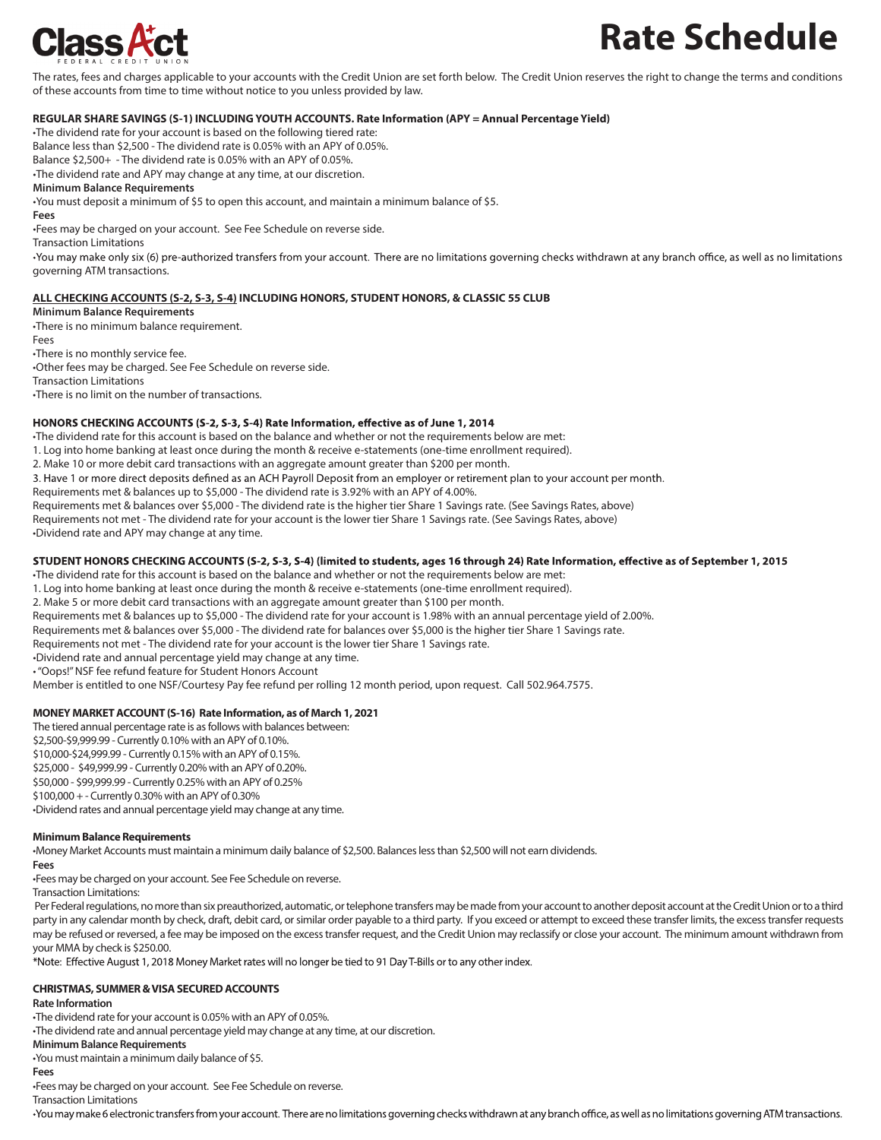

# **Rate Schedule**

The rates, fees and charges applicable to your accounts with the Credit Union are set forth below. The Credit Union reserves the right to change the terms and conditions of these accounts from time to time without notice to you unless provided by law.

# **REGULAR SHARE SAVINGS (S-1) INCLUDINGYOUTH ACCOUNTS. Rate Information (APY = Annual Percentage Yield)**

•The dividend rate for your account is based on the following tiered rate:

Balance less than \$2,500 - The dividend rate is 0.05% with an APY of 0.05%.

Balance \$2,500+ - The dividend rate is 0.05% with an APY of 0.05%. •The dividend rate and APY may change at any time, at our discretion.

**Minimum Balance Requirements**

•You must deposit a minimum of \$5 to open this account, and maintain a minimum balance of \$5.

#### **Fees**

•Fees may be charged on your account. See Fee Schedule on reverse side.

Transaction Limitations

•You may make only six (6) pre-authorized transfers from your account. There are no limitations governing checks withdrawn at any branch office, as well as no limitations governing ATM transactions.

# **ALL CHECKING ACCOUNTS (S-2, S-3, S-4) INCLUDING HONORS, STUDENT HONORS, & CLASSIC 55 CLUB**

#### **Minimum Balance Requirements**

•There is no minimum balance requirement.

Fees

### •There is no monthly service fee.

•Other fees may be charged. See Fee Schedule on reverse side.

Transaction Limitations

•There is no limit on the number of transactions.

## HONORS CHECKING ACCOUNTS (S-2, S-3, S-4) Rate Information, effective as of June 1, 2014

•The dividend rate for this account is based on the balance and whether or not the requirements below are met:

1. Log into home banking at least once during the month & receive e-statements (one-time enrollment required).

2. Make 10 or more debit card transactions with an aggregate amount greater than \$200 per month.

3. Have 1 or more direct deposits defined as an ACH Payroll Deposit from an employer or retirement plan to your account per month.

Requirements met & balances up to \$5,000 - The dividend rate is 3.92% with an APY of 4.00%.

Requirements met & balances over \$5,000 - The dividend rate is the higher tier Share 1 Savings rate. (See Savings Rates, above)

Requirements not met - The dividend rate for your account is the lower tier Share 1 Savings rate. (See Savings Rates, above)

•Dividend rate and APY may change at any time.

## STUDENT HONORS CHECKING ACCOUNTS (S-2, S-3, S-4) (limited to students, ages 16 through 24) Rate Information, effective as of September 1, 2015

•The dividend rate for this account is based on the balance and whether or not the requirements below are met:

1. Log into home banking at least once during the month & receive e-statements (one-time enrollment required).

2. Make 5 or more debit card transactions with an aggregate amount greater than \$100 per month.

Requirements met & balances up to \$5,000 - The dividend rate for your account is 1.98% with an annual percentage yield of 2.00%.

Requirements met & balances over \$5,000 - The dividend rate for balances over \$5,000 is the higher tier Share 1 Savings rate.

Requirements not met - The dividend rate for your account is the lower tier Share 1 Savings rate.

•Dividend rate and annual percentage yield may change at any time.

•"Oops!" NSF fee refund feature for Student Honors Account

Member is entitled to one NSF/Courtesy Pay fee refund per rolling 12 month period, upon request. Call 502.964.7575.

## **MONEY MARKETACCOUNT (S-16) Rate Information, as of March 1, 2021**

The tiered annual percentage rate is as follows with balances between:

\$2,500-\$9,999.99 - Currently 0.10% with an APY of 0.10%.

\$10,000-\$24,999.99 - Currently 0.15% with an APY of 0.15%.

\$25,000 - \$49,999.99 - Currently 0.20% with an APY of 0.20%.

\$50,000 - \$99,999.99 - Currently 0.25% with an APY of 0.25%

\$100,000 + - Currently 0.30% with an APY of 0.30%

•Dividend rates and annual percentage yield may change at any time.

## **Minimum Balance Requirements**

•Money Market Accounts must maintain a minimum daily balance of \$2,500. Balanceslessthan \$2,500 will not earn dividends.

## **Fees**

•Fees may be charged on your account. See Fee Schedule on reverse.

Transaction Limitations:

Per Federal regulations, no more than six preauthorized, automatic, or telephone transfers may be made from your account to another deposit account at the Credit Union or to a third party in any calendar month by check, draft, debit card, or similar order payable to a third party. If you exceed or attempt to exceed these transfer limits, the excess transfer requests may be refused or reversed, a fee may be imposed on the excess transfer request, and the Credit Union may reclassify or close your account. The minimum amount withdrawn from your MMA by check is \$250.00.

\*Note: Effective August 1, 2018 Money Market rates will no longer be tied to 91 Day T-Bills or to any other index.

## **CHRISTMAS, SUMMER &VISA SECURED ACCOUNTS**

## **Rate Information**

•The dividend rate for your account is 0.05% with an APY of 0.05%.

•The dividend rate and annual percentage yield may change at any time, at our discretion.

**Minimum Balance Requirements**

•You must maintain a minimum daily balance of \$5.

**Fees**

•Fees may be charged on your account. See Fee Schedule on reverse.

Transaction Limitations

· You may make 6 electronic transfers from your account. There are no limitations governing checks withdrawn at any branch office, as well as no limitations governing ATM transactions.